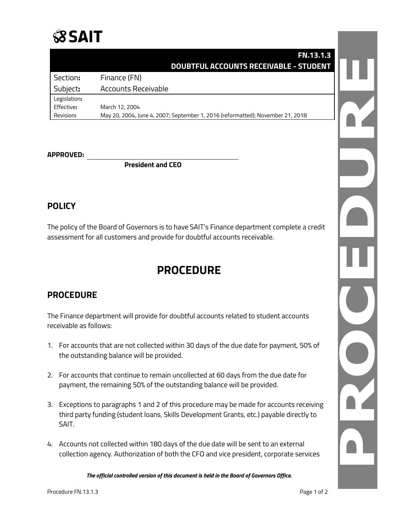

### **FN.13.1.3 DOUBTFUL ACCOUNTS RECEIVABLE - STUDENT**

| Section:     | Finance (FN)                                                                   |
|--------------|--------------------------------------------------------------------------------|
| Subject:     | Accounts Receivable                                                            |
| Legislation: |                                                                                |
| Effective:   | March 12, 2004                                                                 |
| Revision:    | May 20, 2004, June 4, 2007; September 1, 2016 (reformatted); November 21, 2018 |

#### **APPROVED:**

**President and CEO**

### **POLICY**

The policy of the Board of Governors is to have SAIT's Finance department complete a credit assessment for all customers and provide for doubtful accounts receivable.

# **PROCEDURE**

## **PROCEDURE**

The Finance department will provide for doubtful accounts related to student accounts receivable as follows:

- 1. For accounts that are not collected within 30 days of the due date for payment, 50% of the outstanding balance will be provided.
- 2. For accounts that continue to remain uncollected at 60 days from the due date for payment, the remaining 50% of the outstanding balance will be provided.
- 3. Exceptions to paragraphs 1 and 2 of this procedure may be made for accounts receiving third party funding (student loans, Skills Development Grants, etc.) payable directly to SAIT.
- 4. Accounts not collected within 180 days of the due date will be sent to an external collection agency. Authorization of both the CFO and vice president, corporate services

*The official controlled version of this document is held in the Board of Governors Office.*